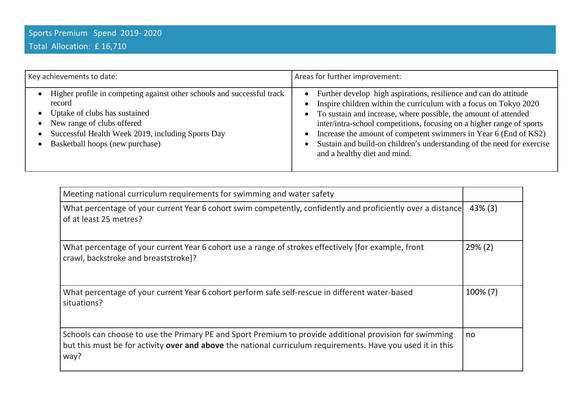| Key achievements to date:                                                                                                                                                                                                               | Areas for further improvement:                                                                                                                                                                                                                                                                                                                                                                                                                                                            |
|-----------------------------------------------------------------------------------------------------------------------------------------------------------------------------------------------------------------------------------------|-------------------------------------------------------------------------------------------------------------------------------------------------------------------------------------------------------------------------------------------------------------------------------------------------------------------------------------------------------------------------------------------------------------------------------------------------------------------------------------------|
| Higher profile in competing against other schools and successful track<br>record<br>Uptake of clubs has sustained<br>New range of clubs offered<br>Successful Health Week 2019, including Sports Day<br>Basketball hoops (new purchase) | Further develop high aspirations, resilience and can do attitude<br>$\bullet$<br>Inspire children within the curriculum with a focus on Tokyo 2020<br>To sustain and increase, where possible, the amount of attended<br>$\bullet$<br>inter/intra-school competitions, focusing on a higher range of sports<br>Increase the amount of competent swimmers in Year 6 (End of KS2)<br>Sustain and build-on children's understanding of the need for exercise<br>and a healthy diet and mind. |

| Meeting national curriculum requirements for swimming and water safety                                                                                                                                                         |            |
|--------------------------------------------------------------------------------------------------------------------------------------------------------------------------------------------------------------------------------|------------|
| What percentage of your current Year 6 cohort swim competently, confidently and proficiently over a distance<br>of at least 25 metres?                                                                                         | $43\%$ (3) |
| What percentage of your current Year 6 cohort use a range of strokes effectively [for example, front<br>crawl, backstroke and breaststroke]?                                                                                   | $29\% (2)$ |
| What percentage of your current Year 6 cohort perform safe self-rescue in different water-based<br>situations?                                                                                                                 | 100% (7)   |
| Schools can choose to use the Primary PE and Sport Premium to provide additional provision for swimming<br>but this must be for activity over and above the national curriculum requirements. Have you used it in this<br>way? | no         |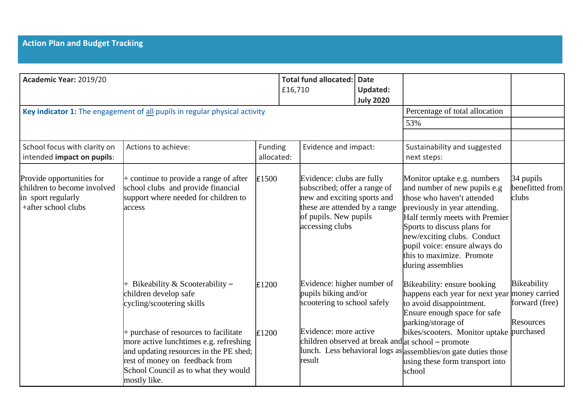| Academic Year: 2019/20                                                                                |                                                                                                                                                                            |                       | £16,710 | Total fund allocated:                                                                                                                                                 | <b>Date</b><br><b>Updated:</b><br><b>July 2020</b> |                                                                                                                                                                                                                                                                                                               |                                            |
|-------------------------------------------------------------------------------------------------------|----------------------------------------------------------------------------------------------------------------------------------------------------------------------------|-----------------------|---------|-----------------------------------------------------------------------------------------------------------------------------------------------------------------------|----------------------------------------------------|---------------------------------------------------------------------------------------------------------------------------------------------------------------------------------------------------------------------------------------------------------------------------------------------------------------|--------------------------------------------|
|                                                                                                       | Key indicator 1: The engagement of all pupils in regular physical activity                                                                                                 |                       |         |                                                                                                                                                                       |                                                    | Percentage of total allocation                                                                                                                                                                                                                                                                                |                                            |
|                                                                                                       |                                                                                                                                                                            |                       |         |                                                                                                                                                                       |                                                    | 53%                                                                                                                                                                                                                                                                                                           |                                            |
| School focus with clarity on<br>intended impact on pupils:                                            | Actions to achieve:                                                                                                                                                        | Funding<br>allocated: |         | Evidence and impact:                                                                                                                                                  |                                                    | Sustainability and suggested<br>next steps:                                                                                                                                                                                                                                                                   |                                            |
| Provide opportunities for<br>children to become involved<br>in sport regularly<br>+after school clubs | $+$ continue to provide a range of after<br>school clubs and provide financial<br>support where needed for children to<br>access                                           | £1500                 |         | Evidence: clubs are fully<br>subscribed; offer a range of<br>new and exciting sports and<br>these are attended by a range<br>of pupils. New pupils<br>accessing clubs |                                                    | Monitor uptake e.g. numbers<br>and number of new pupils e.g<br>those who haven't attended<br>previously in year attending.<br>Half termly meets with Premier<br>Sports to discuss plans for<br>new/exciting clubs. Conduct<br>pupil voice: ensure always do<br>this to maximize. Promote<br>during assemblies | $34$ pupils<br>benefitted from<br>clubs    |
|                                                                                                       | Bikeability & Scooterability $-$<br>children develop safe<br>cycling/scootering skills<br>$+$ purchase of resources to facilitate                                          | E1200<br>£1200        |         | Evidence: higher number of<br>pupils biking and/or<br>scootering to school safely<br>Evidence: more active                                                            |                                                    | Bikeability: ensure booking<br>happens each year for next year money carried<br>to avoid disappointment.<br>Ensure enough space for safe<br>parking/storage of<br>bikes/scooters. Monitor uptake purchased                                                                                                    | Bikeability<br>forward (free)<br>Resources |
|                                                                                                       | more active lunchtimes e.g. refreshing<br>and updating resources in the PE shed;<br>rest of money on feedback from<br>School Council as to what they would<br>mostly like. |                       |         | result                                                                                                                                                                |                                                    | children observed at break and at school - promote<br>lunch. Less behavioral logs as assemblies/on gate duties those<br>using these form transport into<br>school                                                                                                                                             |                                            |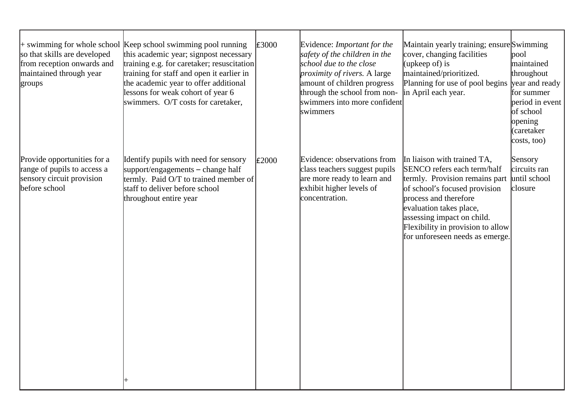| so that skills are developed<br>from reception onwards and<br>maintained through year<br>groups          | $+$ swimming for whole school Keep school swimming pool running<br>this academic year; signpost necessary<br>training e.g. for caretaker; resuscitation<br>training for staff and open it earlier in<br>the academic year to offer additional<br>lessons for weak cohort of year 6<br>swimmers. O/T costs for caretaker, | £3000 | Evidence: Important for the<br>safety of the children in the<br>school due to the close<br>proximity of rivers. A large<br>amount of children progress<br>through the school from non-<br>swimmers into more confident<br>swimmers | Maintain yearly training; ensure Swimming<br>cover, changing facilities<br>(upkeep of) is<br>maintained/prioritized.<br>Planning for use of pool begins<br>in April each year.                                                                                                          | pool<br>maintained<br>throughout<br>year and ready<br>for summer<br>period in event<br>of school<br>opening<br>(caretaker<br>costs, too) |
|----------------------------------------------------------------------------------------------------------|--------------------------------------------------------------------------------------------------------------------------------------------------------------------------------------------------------------------------------------------------------------------------------------------------------------------------|-------|------------------------------------------------------------------------------------------------------------------------------------------------------------------------------------------------------------------------------------|-----------------------------------------------------------------------------------------------------------------------------------------------------------------------------------------------------------------------------------------------------------------------------------------|------------------------------------------------------------------------------------------------------------------------------------------|
| Provide opportunities for a<br>range of pupils to access a<br>sensory circuit provision<br>before school | Identify pupils with need for sensory<br>support/engagements – change half<br>termly. Paid O/T to trained member of<br>staff to deliver before school<br>throughout entire year                                                                                                                                          | E2000 | Evidence: observations from<br>class teachers suggest pupils<br>are more ready to learn and<br>exhibit higher levels of<br>concentration.                                                                                          | In liaison with trained TA,<br>SENCO refers each term/half<br>termly. Provision remains part<br>of school's focused provision<br>process and therefore<br>evaluation takes place,<br>assessing impact on child.<br>Flexibility in provision to allow<br>for unforeseen needs as emerge. | Sensory<br>circuits ran<br>until school<br>closure                                                                                       |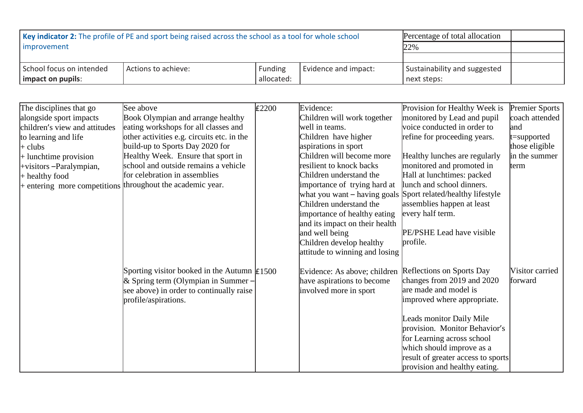| <b>Key indicator 2:</b> The profile of PE and sport being raised across the school as a tool for whole school | Percentage of total allocation |             |                      |                              |  |
|---------------------------------------------------------------------------------------------------------------|--------------------------------|-------------|----------------------|------------------------------|--|
| improvement                                                                                                   | 22%                            |             |                      |                              |  |
|                                                                                                               |                                |             |                      |                              |  |
| School focus on intended                                                                                      | Actions to achieve:            | Funding     | Evidence and impact: | Sustainability and suggested |  |
| impact on pupils:                                                                                             |                                | next steps: |                      |                              |  |

| The disciplines that go       | See above                                                  | £2200 | Evidence:                      | Provision for Healthy Week is      | <b>Premier Sports</b> |
|-------------------------------|------------------------------------------------------------|-------|--------------------------------|------------------------------------|-----------------------|
| alongside sport impacts       | Book Olympian and arrange healthy                          |       | Children will work together    | monitored by Lead and pupil        | coach attended        |
| children's view and attitudes | eating workshops for all classes and                       |       | well in teams.                 | voice conducted in order to        | land                  |
| to learning and life          | other activities e.g. circuits etc. in the                 |       | Children have higher           | refine for proceeding years.       | t=supported           |
| + clubs                       | build-up to Sports Day 2020 for                            |       | aspirations in sport           |                                    | those eligible        |
| + lunchtime provision         | Healthy Week. Ensure that sport in                         |       | Children will become more      | Healthy lunches are regularly      | in the summer         |
| +visitors -Paralympian,       | school and outside remains a vehicle                       |       | resilient to knock backs       | monitored and promoted in          | term                  |
| + healthy food                | for celebration in assemblies                              |       | Children understand the        | Hall at lunchtimes: packed         |                       |
| + entering more competitions  | throughout the academic year.                              |       | importance of trying hard at   | lunch and school dinners.          |                       |
|                               |                                                            |       | what you want $-$ having goals | Sport related/healthy lifestyle    |                       |
|                               |                                                            |       | Children understand the        | assemblies happen at least         |                       |
|                               |                                                            |       | importance of healthy eating   | every half term.                   |                       |
|                               |                                                            |       | and its impact on their health |                                    |                       |
|                               |                                                            |       | and well being                 | PE/PSHE Lead have visible          |                       |
|                               |                                                            |       | Children develop healthy       | profile.                           |                       |
|                               |                                                            |       | attitude to winning and losing |                                    |                       |
|                               | Sporting visitor booked in the Autumn $\text{\pounds}1500$ |       | Evidence: As above; children   | Reflections on Sports Day          | Visitor carried       |
|                               | & Spring term (Olympian in Summer –                        |       | have aspirations to become     | changes from 2019 and 2020         | forward               |
|                               | see above) in order to continually raise                   |       | involved more in sport         | are made and model is              |                       |
|                               | profile/aspirations.                                       |       |                                | improved where appropriate.        |                       |
|                               |                                                            |       |                                |                                    |                       |
|                               |                                                            |       |                                | Leads monitor Daily Mile           |                       |
|                               |                                                            |       |                                | provision. Monitor Behavior's      |                       |
|                               |                                                            |       |                                | for Learning across school         |                       |
|                               |                                                            |       |                                | which should improve as a          |                       |
|                               |                                                            |       |                                | result of greater access to sports |                       |
|                               |                                                            |       |                                | provision and healthy eating.      |                       |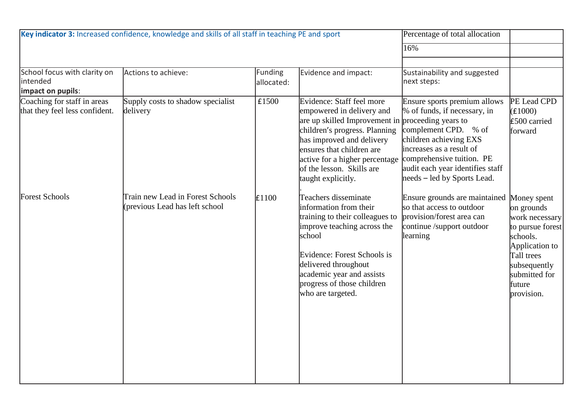| Key indicator 3: Increased confidence, knowledge and skills of all staff in teaching PE and sport |                                                                    |                              |                                                                                                                                                                                                                                                                                             | Percentage of total allocation                                                                                                                                                                                                             |                                                                                                                                                                      |
|---------------------------------------------------------------------------------------------------|--------------------------------------------------------------------|------------------------------|---------------------------------------------------------------------------------------------------------------------------------------------------------------------------------------------------------------------------------------------------------------------------------------------|--------------------------------------------------------------------------------------------------------------------------------------------------------------------------------------------------------------------------------------------|----------------------------------------------------------------------------------------------------------------------------------------------------------------------|
|                                                                                                   |                                                                    |                              |                                                                                                                                                                                                                                                                                             | 16%                                                                                                                                                                                                                                        |                                                                                                                                                                      |
| School focus with clarity on<br>intended<br>impact on pupils:                                     | Actions to achieve:                                                | <b>Funding</b><br>allocated: | Evidence and impact:                                                                                                                                                                                                                                                                        | Sustainability and suggested<br>next steps:                                                                                                                                                                                                |                                                                                                                                                                      |
| Coaching for staff in areas<br>that they feel less confident.                                     | Supply costs to shadow specialist<br>delivery                      | £1500                        | Evidence: Staff feel more<br>empowered in delivery and<br>are up skilled Improvement in proceeding years to<br>children's progress. Planning<br>has improved and delivery<br>ensures that children are<br>active for a higher percentage<br>of the lesson. Skills are<br>taught explicitly. | Ensure sports premium allows<br>% of funds, if necessary, in<br>complement CPD. % of<br>children achieving EXS<br>increases as a result of<br>comprehensive tuition. PE<br>audit each year identifies staff<br>needs – led by Sports Lead. | PE Lead CPD<br>(E1000)<br>£500 carried<br>forward                                                                                                                    |
| <b>Forest Schools</b>                                                                             | Train new Lead in Forest Schools<br>(previous Lead has left school | E1100                        | Teachers disseminate<br>information from their<br>training to their colleagues to<br>improve teaching across the<br>school<br>Evidence: Forest Schools is<br>delivered throughout<br>academic year and assists<br>progress of those children<br>who are targeted.                           | Ensure grounds are maintained<br>so that access to outdoor<br>provision/forest area can<br>continue /support outdoor<br>learning                                                                                                           | Money spent<br>on grounds<br>work necessary<br>to pursue forest<br>schools.<br>Application to<br>Tall trees<br>subsequently<br>submitted for<br>future<br>provision. |